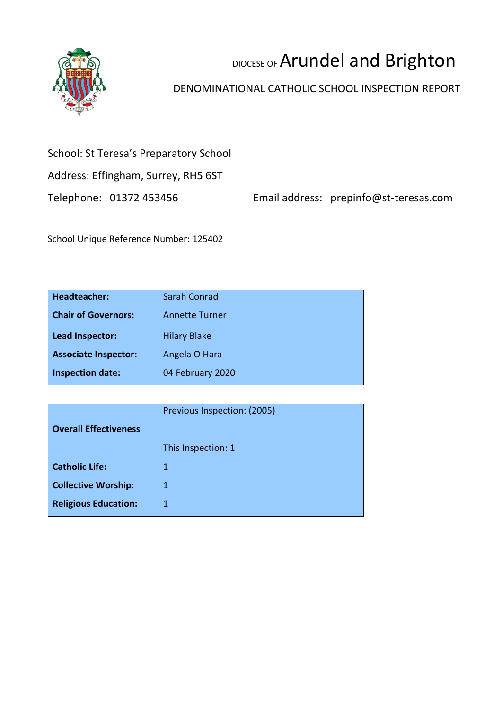

# DIOCESE OF Arundel and Brighton

# DENOMINATIONAL CATHOLIC SCHOOL INSPECTION REPORT

## School: St Teresa's Preparatory School

Address: Effingham, Surrey, RH5 6ST

Telephone: 01372 453456 Email address: prepinfo@st-teresas.com

School Unique Reference Number: 125402

| <b>Headteacher:</b>         | Sarah Conrad          |
|-----------------------------|-----------------------|
| <b>Chair of Governors:</b>  | <b>Annette Turner</b> |
| Lead Inspector:             | <b>Hilary Blake</b>   |
| <b>Associate Inspector:</b> | Angela O Hara         |
| <b>Inspection date:</b>     | 04 February 2020      |

|                              | Previous Inspection: (2005) |
|------------------------------|-----------------------------|
| <b>Overall Effectiveness</b> |                             |
|                              | This Inspection: 1          |
| <b>Catholic Life:</b>        |                             |
| <b>Collective Worship:</b>   | 1                           |
| <b>Religious Education:</b>  |                             |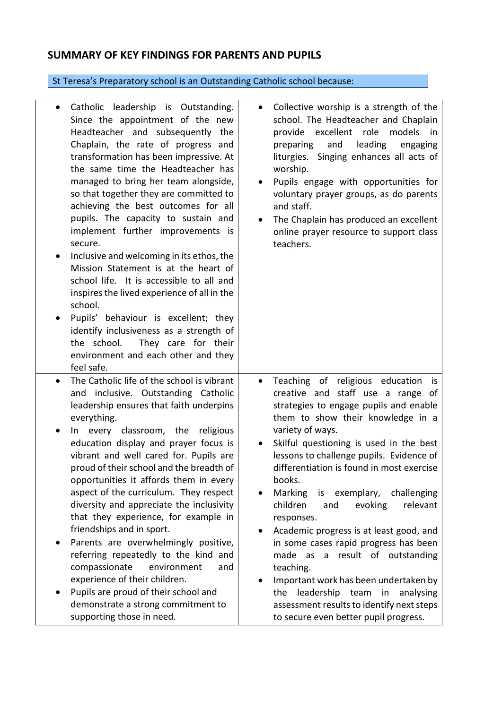## **SUMMARY OF KEY FINDINGS FOR PARENTS AND PUPILS**

# St Teresa's Preparatory school is an Outstanding Catholic school because:

| $\bullet$      | Catholic leadership is Outstanding.<br>Since the appointment of the new<br>Headteacher and subsequently the<br>Chaplain, the rate of progress and<br>transformation has been impressive. At<br>the same time the Headteacher has<br>managed to bring her team alongside,<br>so that together they are committed to<br>achieving the best outcomes for all<br>pupils. The capacity to sustain and<br>implement further improvements is<br>secure.<br>Inclusive and welcoming in its ethos, the<br>Mission Statement is at the heart of<br>school life. It is accessible to all and<br>inspires the lived experience of all in the<br>school.<br>Pupils' behaviour is excellent; they<br>identify inclusiveness as a strength of<br>the school.<br>They care for their<br>environment and each other and they<br>feel safe. | Collective worship is a strength of the<br>$\bullet$<br>school. The Headteacher and Chaplain<br>provide excellent<br>role<br>models<br>in<br>leading<br>preparing<br>and<br>engaging<br>liturgies. Singing enhances all acts of<br>worship.<br>Pupils engage with opportunities for<br>voluntary prayer groups, as do parents<br>and staff.<br>The Chaplain has produced an excellent<br>online prayer resource to support class<br>teachers.                                                                                                                                                                                                                                                                                                   |
|----------------|---------------------------------------------------------------------------------------------------------------------------------------------------------------------------------------------------------------------------------------------------------------------------------------------------------------------------------------------------------------------------------------------------------------------------------------------------------------------------------------------------------------------------------------------------------------------------------------------------------------------------------------------------------------------------------------------------------------------------------------------------------------------------------------------------------------------------|-------------------------------------------------------------------------------------------------------------------------------------------------------------------------------------------------------------------------------------------------------------------------------------------------------------------------------------------------------------------------------------------------------------------------------------------------------------------------------------------------------------------------------------------------------------------------------------------------------------------------------------------------------------------------------------------------------------------------------------------------|
| $\bullet$<br>٠ | The Catholic life of the school is vibrant<br>and inclusive. Outstanding Catholic<br>leadership ensures that faith underpins<br>everything.<br>In every classroom, the religious<br>education display and prayer focus is<br>vibrant and well cared for. Pupils are<br>proud of their school and the breadth of<br>opportunities it affords them in every<br>aspect of the curriculum. They respect<br>diversity and appreciate the inclusivity<br>that they experience, for example in<br>friendships and in sport.<br>Parents are overwhelmingly positive,<br>referring repeatedly to the kind and<br>compassionate<br>environment<br>and<br>experience of their children.<br>Pupils are proud of their school and<br>demonstrate a strong commitment to                                                                | Teaching of religious education<br>$\bullet$<br>is<br>creative and staff use a range of<br>strategies to engage pupils and enable<br>them to show their knowledge in a<br>variety of ways.<br>Skilful questioning is used in the best<br>lessons to challenge pupils. Evidence of<br>differentiation is found in most exercise<br>books.<br>Marking<br>exemplary,<br>challenging<br>is<br>children<br>evoking<br>relevant<br>and<br>responses.<br>Academic progress is at least good, and<br>$\bullet$<br>in some cases rapid progress has been<br>made as a result of outstanding<br>teaching.<br>Important work has been undertaken by<br>$\bullet$<br>leadership team<br>analysing<br>the<br>in<br>assessment results to identify next steps |
|                | supporting those in need.                                                                                                                                                                                                                                                                                                                                                                                                                                                                                                                                                                                                                                                                                                                                                                                                 | to secure even better pupil progress.                                                                                                                                                                                                                                                                                                                                                                                                                                                                                                                                                                                                                                                                                                           |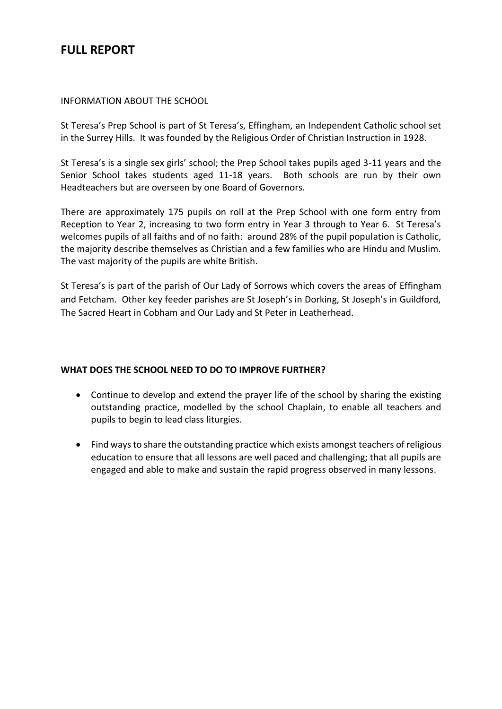## **FULL REPORT**

#### INFORMATION ABOUT THE SCHOOL

St Teresa's Prep School is part of St Teresa's, Effingham, an Independent Catholic school set in the Surrey Hills. It was founded by the Religious Order of Christian Instruction in 1928.

St Teresa's is a single sex girls' school; the Prep School takes pupils aged 3-11 years and the Senior School takes students aged 11-18 years. Both schools are run by their own Headteachers but are overseen by one Board of Governors.

There are approximately 175 pupils on roll at the Prep School with one form entry from Reception to Year 2, increasing to two form entry in Year 3 through to Year 6. St Teresa's welcomes pupils of all faiths and of no faith: around 28% of the pupil population is Catholic, the majority describe themselves as Christian and a few families who are Hindu and Muslim. The vast majority of the pupils are white British.

St Teresa's is part of the parish of Our Lady of Sorrows which covers the areas of Effingham and Fetcham. Other key feeder parishes are St Joseph's in Dorking, St Joseph's in Guildford, The Sacred Heart in Cobham and Our Lady and St Peter in Leatherhead.

#### **WHAT DOES THE SCHOOL NEED TO DO TO IMPROVE FURTHER?**

- Continue to develop and extend the prayer life of the school by sharing the existing outstanding practice, modelled by the school Chaplain, to enable all teachers and pupils to begin to lead class liturgies.
- Find ways to share the outstanding practice which exists amongst teachers of religious education to ensure that all lessons are well paced and challenging; that all pupils are engaged and able to make and sustain the rapid progress observed in many lessons.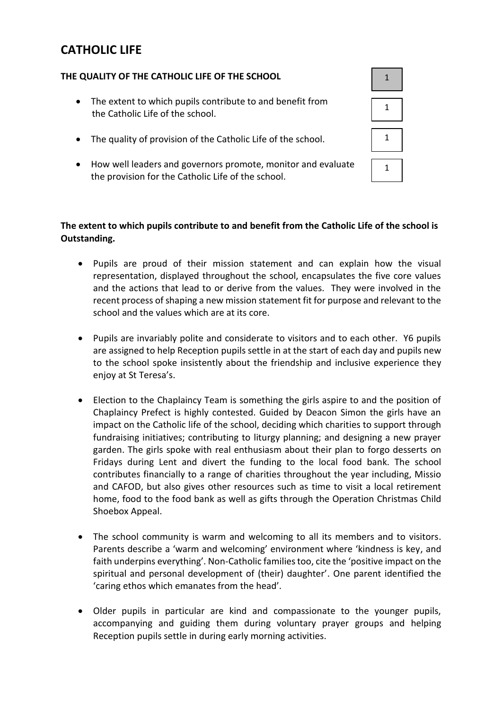# **CATHOLIC LIFE**

#### **THE QUALITY OF THE CATHOLIC LIFE OF THE SCHOOL**

- The extent to which pupils contribute to and benefit from the Catholic Life of the school.
- The quality of provision of the Catholic Life of the school.
- How well leaders and governors promote, monitor and evaluate the provision for the Catholic Life of the school.



#### **The extent to which pupils contribute to and benefit from the Catholic Life of the school is Outstanding.**

- Pupils are proud of their mission statement and can explain how the visual representation, displayed throughout the school, encapsulates the five core values and the actions that lead to or derive from the values. They were involved in the recent process of shaping a new mission statement fit for purpose and relevant to the school and the values which are at its core.
- Pupils are invariably polite and considerate to visitors and to each other. Y6 pupils are assigned to help Reception pupils settle in at the start of each day and pupils new to the school spoke insistently about the friendship and inclusive experience they enjoy at St Teresa's.
- Election to the Chaplaincy Team is something the girls aspire to and the position of Chaplaincy Prefect is highly contested. Guided by Deacon Simon the girls have an impact on the Catholic life of the school, deciding which charities to support through fundraising initiatives; contributing to liturgy planning; and designing a new prayer garden. The girls spoke with real enthusiasm about their plan to forgo desserts on Fridays during Lent and divert the funding to the local food bank. The school contributes financially to a range of charities throughout the year including, Missio and CAFOD, but also gives other resources such as time to visit a local retirement home, food to the food bank as well as gifts through the Operation Christmas Child Shoebox Appeal.
- The school community is warm and welcoming to all its members and to visitors. Parents describe a 'warm and welcoming' environment where 'kindness is key, and faith underpins everything'. Non-Catholic families too, cite the 'positive impact on the spiritual and personal development of (their) daughter'. One parent identified the 'caring ethos which emanates from the head'.
- Older pupils in particular are kind and compassionate to the younger pupils, accompanying and guiding them during voluntary prayer groups and helping Reception pupils settle in during early morning activities.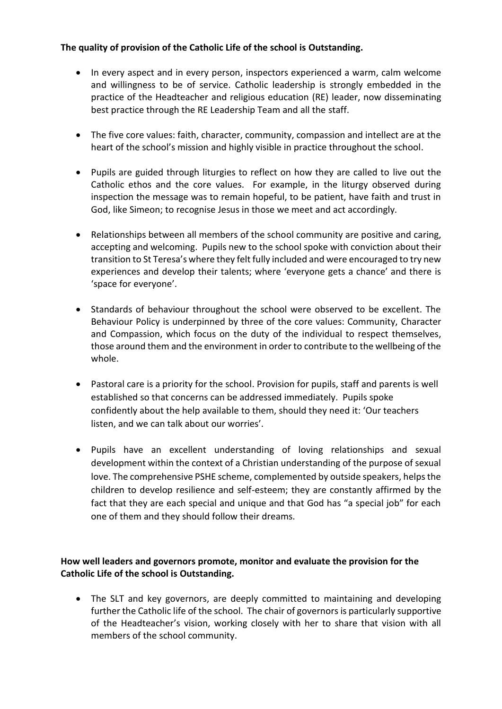#### **The quality of provision of the Catholic Life of the school is Outstanding.**

- In every aspect and in every person, inspectors experienced a warm, calm welcome and willingness to be of service. Catholic leadership is strongly embedded in the practice of the Headteacher and religious education (RE) leader, now disseminating best practice through the RE Leadership Team and all the staff.
- The five core values: faith, character, community, compassion and intellect are at the heart of the school's mission and highly visible in practice throughout the school.
- Pupils are guided through liturgies to reflect on how they are called to live out the Catholic ethos and the core values. For example, in the liturgy observed during inspection the message was to remain hopeful, to be patient, have faith and trust in God, like Simeon; to recognise Jesus in those we meet and act accordingly.
- Relationships between all members of the school community are positive and caring, accepting and welcoming. Pupils new to the school spoke with conviction about their transition to St Teresa's where they felt fully included and were encouraged to try new experiences and develop their talents; where 'everyone gets a chance' and there is 'space for everyone'.
- Standards of behaviour throughout the school were observed to be excellent. The Behaviour Policy is underpinned by three of the core values: Community, Character and Compassion, which focus on the duty of the individual to respect themselves, those around them and the environment in order to contribute to the wellbeing of the whole.
- Pastoral care is a priority for the school. Provision for pupils, staff and parents is well established so that concerns can be addressed immediately. Pupils spoke confidently about the help available to them, should they need it: 'Our teachers listen, and we can talk about our worries'.
- Pupils have an excellent understanding of loving relationships and sexual development within the context of a Christian understanding of the purpose of sexual love. The comprehensive PSHE scheme, complemented by outside speakers, helps the children to develop resilience and self-esteem; they are constantly affirmed by the fact that they are each special and unique and that God has "a special job" for each one of them and they should follow their dreams.

#### **How well leaders and governors promote, monitor and evaluate the provision for the Catholic Life of the school is Outstanding.**

• The SLT and key governors, are deeply committed to maintaining and developing further the Catholic life of the school. The chair of governors is particularly supportive of the Headteacher's vision, working closely with her to share that vision with all members of the school community.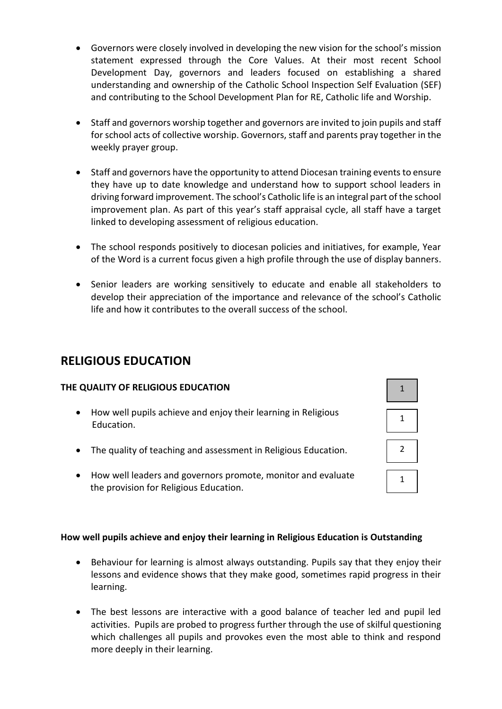- Governors were closely involved in developing the new vision for the school's mission statement expressed through the Core Values. At their most recent School Development Day, governors and leaders focused on establishing a shared understanding and ownership of the Catholic School Inspection Self Evaluation (SEF) and contributing to the School Development Plan for RE, Catholic life and Worship.
- Staff and governors worship together and governors are invited to join pupils and staff for school acts of collective worship. Governors, staff and parents pray together in the weekly prayer group.
- Staff and governors have the opportunity to attend Diocesan training events to ensure they have up to date knowledge and understand how to support school leaders in driving forward improvement. The school's Catholic life is an integral part of the school improvement plan. As part of this year's staff appraisal cycle, all staff have a target linked to developing assessment of religious education.
- The school responds positively to diocesan policies and initiatives, for example, Year of the Word is a current focus given a high profile through the use of display banners.
- Senior leaders are working sensitively to educate and enable all stakeholders to develop their appreciation of the importance and relevance of the school's Catholic life and how it contributes to the overall success of the school.

## **RELIGIOUS EDUCATION**

#### **THE QUALITY OF RELIGIOUS EDUCATION**

- How well pupils achieve and enjoy their learning in Religious Education.
- The quality of teaching and assessment in Religious Education.
- How well leaders and governors promote, monitor and evaluate the provision for Religious Education.

#### **How well pupils achieve and enjoy their learning in Religious Education is Outstanding**

- Behaviour for learning is almost always outstanding. Pupils say that they enjoy their lessons and evidence shows that they make good, sometimes rapid progress in their learning.
- The best lessons are interactive with a good balance of teacher led and pupil led activities. Pupils are probed to progress further through the use of skilful questioning which challenges all pupils and provokes even the most able to think and respond more deeply in their learning.

| $\overline{1}$ |
|----------------|
| 1              |
| $\overline{2}$ |
| 1              |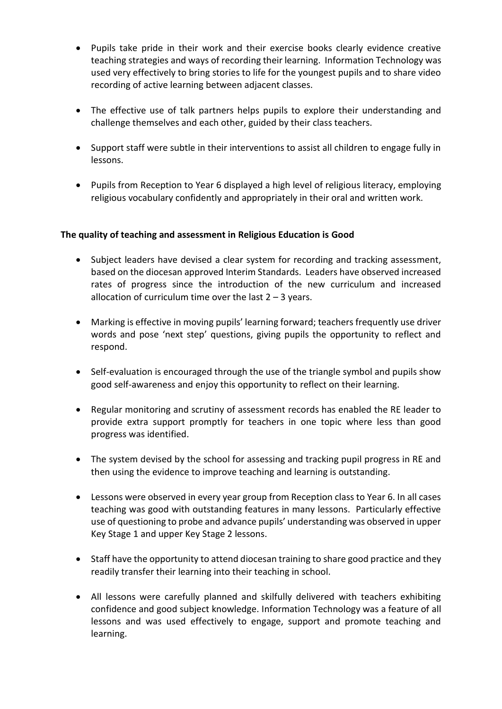- Pupils take pride in their work and their exercise books clearly evidence creative teaching strategies and ways of recording their learning. Information Technology was used very effectively to bring stories to life for the youngest pupils and to share video recording of active learning between adjacent classes.
- The effective use of talk partners helps pupils to explore their understanding and challenge themselves and each other, guided by their class teachers.
- Support staff were subtle in their interventions to assist all children to engage fully in lessons.
- Pupils from Reception to Year 6 displayed a high level of religious literacy, employing religious vocabulary confidently and appropriately in their oral and written work.

#### **The quality of teaching and assessment in Religious Education is Good**

- Subject leaders have devised a clear system for recording and tracking assessment, based on the diocesan approved Interim Standards. Leaders have observed increased rates of progress since the introduction of the new curriculum and increased allocation of curriculum time over the last  $2 - 3$  years.
- Marking is effective in moving pupils' learning forward; teachers frequently use driver words and pose 'next step' questions, giving pupils the opportunity to reflect and respond.
- Self-evaluation is encouraged through the use of the triangle symbol and pupils show good self-awareness and enjoy this opportunity to reflect on their learning.
- Regular monitoring and scrutiny of assessment records has enabled the RE leader to provide extra support promptly for teachers in one topic where less than good progress was identified.
- The system devised by the school for assessing and tracking pupil progress in RE and then using the evidence to improve teaching and learning is outstanding.
- Lessons were observed in every year group from Reception class to Year 6. In all cases teaching was good with outstanding features in many lessons. Particularly effective use of questioning to probe and advance pupils' understanding was observed in upper Key Stage 1 and upper Key Stage 2 lessons.
- Staff have the opportunity to attend diocesan training to share good practice and they readily transfer their learning into their teaching in school.
- All lessons were carefully planned and skilfully delivered with teachers exhibiting confidence and good subject knowledge. Information Technology was a feature of all lessons and was used effectively to engage, support and promote teaching and learning.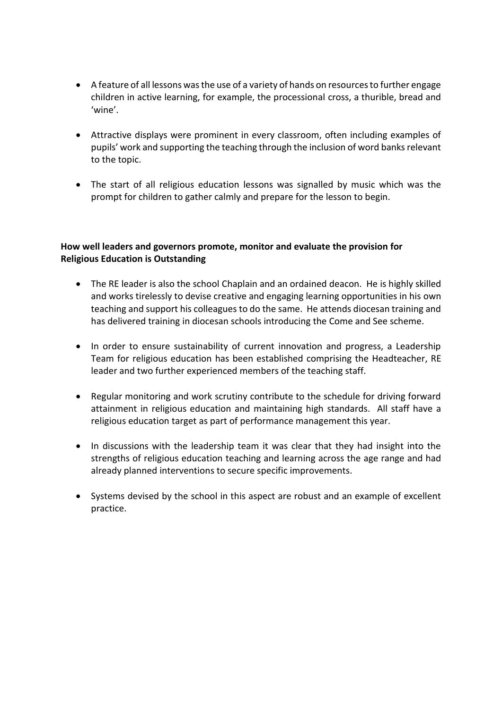- A feature of all lessons was the use of a variety of hands on resources to further engage children in active learning, for example, the processional cross, a thurible, bread and 'wine'.
- Attractive displays were prominent in every classroom, often including examples of pupils' work and supporting the teaching through the inclusion of word banks relevant to the topic.
- The start of all religious education lessons was signalled by music which was the prompt for children to gather calmly and prepare for the lesson to begin.

#### **How well leaders and governors promote, monitor and evaluate the provision for Religious Education is Outstanding**

- The RE leader is also the school Chaplain and an ordained deacon. He is highly skilled and works tirelessly to devise creative and engaging learning opportunities in his own teaching and support his colleagues to do the same. He attends diocesan training and has delivered training in diocesan schools introducing the Come and See scheme.
- In order to ensure sustainability of current innovation and progress, a Leadership Team for religious education has been established comprising the Headteacher, RE leader and two further experienced members of the teaching staff.
- Regular monitoring and work scrutiny contribute to the schedule for driving forward attainment in religious education and maintaining high standards. All staff have a religious education target as part of performance management this year.
- In discussions with the leadership team it was clear that they had insight into the strengths of religious education teaching and learning across the age range and had already planned interventions to secure specific improvements.
- Systems devised by the school in this aspect are robust and an example of excellent practice.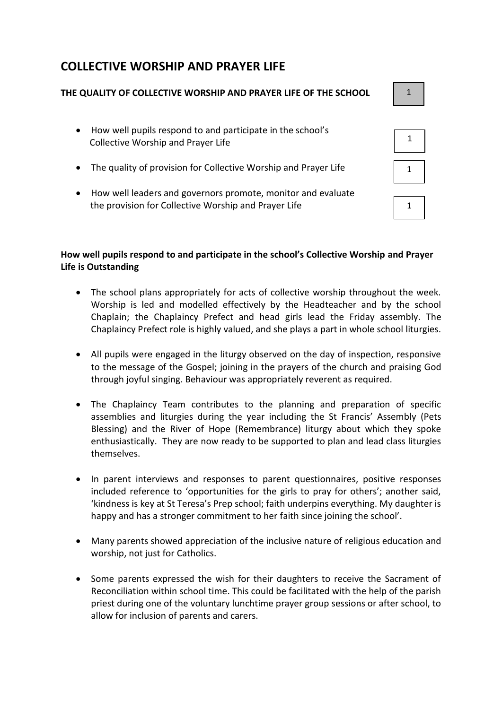# **COLLECTIVE WORSHIP AND PRAYER LIFE**

#### **THE QUALITY OF COLLECTIVE WORSHIP AND PRAYER LIFE OF THE SCHOOL**

- How well pupils respond to and participate in the school's Collective Worship and Prayer Life
- The quality of provision for Collective Worship and Prayer Life
- How well leaders and governors promote, monitor and evaluate the provision for Collective Worship and Prayer Life

#### **How well pupils respond to and participate in the school's Collective Worship and Prayer Life is Outstanding**

- The school plans appropriately for acts of collective worship throughout the week. Worship is led and modelled effectively by the Headteacher and by the school Chaplain; the Chaplaincy Prefect and head girls lead the Friday assembly. The Chaplaincy Prefect role is highly valued, and she plays a part in whole school liturgies.
- All pupils were engaged in the liturgy observed on the day of inspection, responsive to the message of the Gospel; joining in the prayers of the church and praising God through joyful singing. Behaviour was appropriately reverent as required.
- The Chaplaincy Team contributes to the planning and preparation of specific assemblies and liturgies during the year including the St Francis' Assembly (Pets Blessing) and the River of Hope (Remembrance) liturgy about which they spoke enthusiastically. They are now ready to be supported to plan and lead class liturgies themselves.
- In parent interviews and responses to parent questionnaires, positive responses included reference to 'opportunities for the girls to pray for others'; another said, 'kindness is key at St Teresa's Prep school; faith underpins everything. My daughter is happy and has a stronger commitment to her faith since joining the school'.
- Many parents showed appreciation of the inclusive nature of religious education and worship, not just for Catholics.
- Some parents expressed the wish for their daughters to receive the Sacrament of Reconciliation within school time. This could be facilitated with the help of the parish priest during one of the voluntary lunchtime prayer group sessions or after school, to allow for inclusion of parents and carers.

1

| 1 |
|---|
|   |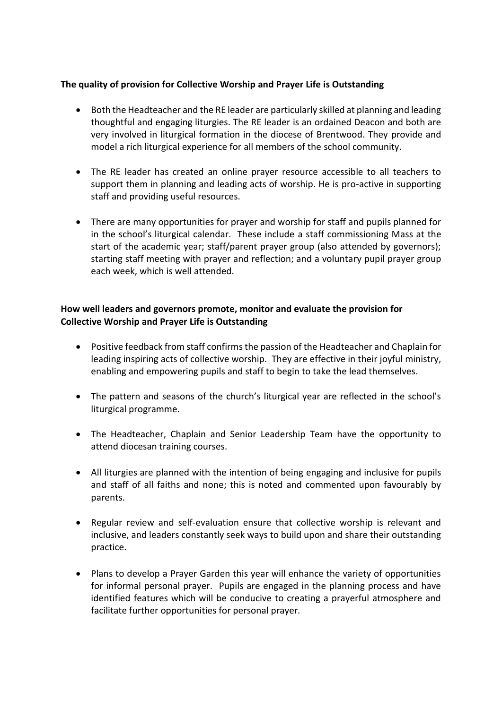#### **The quality of provision for Collective Worship and Prayer Life is Outstanding**

- Both the Headteacher and the RE leader are particularly skilled at planning and leading thoughtful and engaging liturgies. The RE leader is an ordained Deacon and both are very involved in liturgical formation in the diocese of Brentwood. They provide and model a rich liturgical experience for all members of the school community.
- The RE leader has created an online prayer resource accessible to all teachers to support them in planning and leading acts of worship. He is pro-active in supporting staff and providing useful resources.
- There are many opportunities for prayer and worship for staff and pupils planned for in the school's liturgical calendar. These include a staff commissioning Mass at the start of the academic year; staff/parent prayer group (also attended by governors); starting staff meeting with prayer and reflection; and a voluntary pupil prayer group each week, which is well attended.

#### **How well leaders and governors promote, monitor and evaluate the provision for Collective Worship and Prayer Life is Outstanding**

- Positive feedback from staff confirms the passion of the Headteacher and Chaplain for leading inspiring acts of collective worship. They are effective in their joyful ministry, enabling and empowering pupils and staff to begin to take the lead themselves.
- The pattern and seasons of the church's liturgical year are reflected in the school's liturgical programme.
- The Headteacher, Chaplain and Senior Leadership Team have the opportunity to attend diocesan training courses.
- All liturgies are planned with the intention of being engaging and inclusive for pupils and staff of all faiths and none; this is noted and commented upon favourably by parents.
- Regular review and self-evaluation ensure that collective worship is relevant and inclusive, and leaders constantly seek ways to build upon and share their outstanding practice.
- Plans to develop a Prayer Garden this year will enhance the variety of opportunities for informal personal prayer. Pupils are engaged in the planning process and have identified features which will be conducive to creating a prayerful atmosphere and facilitate further opportunities for personal prayer.